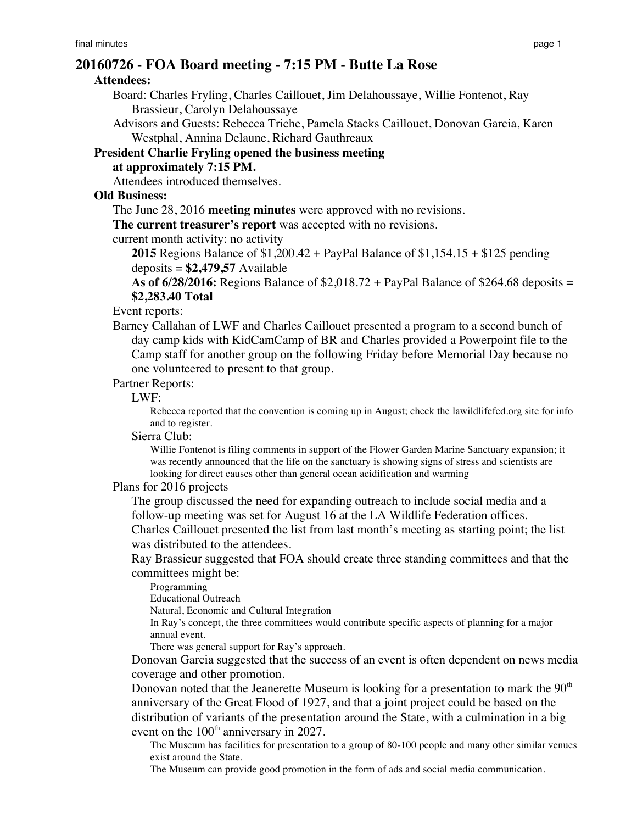# **20160726 - FOA Board meeting - 7:15 PM - Butte La Rose**

#### **Attendees:**

Board: Charles Fryling, Charles Caillouet, Jim Delahoussaye, Willie Fontenot, Ray Brassieur, Carolyn Delahoussaye

Advisors and Guests: Rebecca Triche, Pamela Stacks Caillouet, Donovan Garcia, Karen Westphal, Annina Delaune, Richard Gauthreaux

# **President Charlie Fryling opened the business meeting**

**at approximately 7:15 PM.**

Attendees introduced themselves.

## **Old Business:**

The June 28, 2016 **meeting minutes** were approved with no revisions.

**The current treasurer's report** was accepted with no revisions.

current month activity: no activity

**2015** Regions Balance of \$1,200.42 + PayPal Balance of \$1,154.15 + \$125 pending deposits = **\$2,479,57** Available

**As of 6/28/2016:** Regions Balance of \$2,018.72 + PayPal Balance of \$264.68 deposits = **\$2,283.40 Total**

Event reports:

Barney Callahan of LWF and Charles Caillouet presented a program to a second bunch of day camp kids with KidCamCamp of BR and Charles provided a Powerpoint file to the Camp staff for another group on the following Friday before Memorial Day because no one volunteered to present to that group.

### Partner Reports:

### LWF:

Rebecca reported that the convention is coming up in August; check the lawildlifefed.org site for info and to register.

Sierra Club:

Willie Fontenot is filing comments in support of the Flower Garden Marine Sanctuary expansion; it was recently announced that the life on the sanctuary is showing signs of stress and scientists are looking for direct causes other than general ocean acidification and warming

#### Plans for 2016 projects

The group discussed the need for expanding outreach to include social media and a follow-up meeting was set for August 16 at the LA Wildlife Federation offices.

Charles Caillouet presented the list from last month's meeting as starting point; the list was distributed to the attendees.

Ray Brassieur suggested that FOA should create three standing committees and that the committees might be:

Programming

Educational Outreach

Natural, Economic and Cultural Integration

In Ray's concept, the three committees would contribute specific aspects of planning for a major annual event.

There was general support for Ray's approach.

Donovan Garcia suggested that the success of an event is often dependent on news media coverage and other promotion.

Donovan noted that the Jeanerette Museum is looking for a presentation to mark the  $90<sup>th</sup>$ anniversary of the Great Flood of 1927, and that a joint project could be based on the distribution of variants of the presentation around the State, with a culmination in a big event on the  $100<sup>th</sup>$  anniversary in 2027.

The Museum has facilities for presentation to a group of 80-100 people and many other similar venues exist around the State.

The Museum can provide good promotion in the form of ads and social media communication.